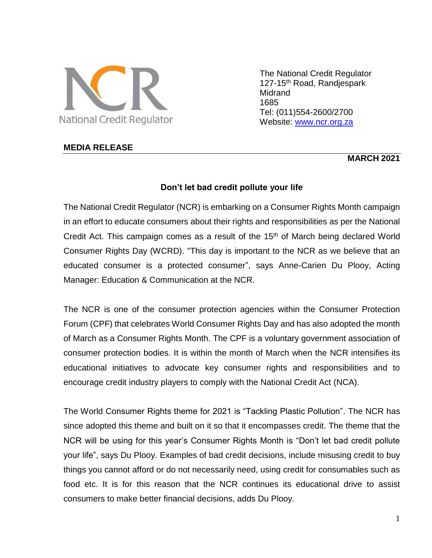

The National Credit Regulator 127-15<sup>th</sup> Road, Randjespark Midrand 1685 Tel: (011)554-2600/2700 Website: [www.ncr.org.za](http://www.ncr.org.za/)

#### **MEDIA RELEASE**

### **MARCH 2021**

### **Don't let bad credit pollute your life**

The National Credit Regulator (NCR) is embarking on a Consumer Rights Month campaign in an effort to educate consumers about their rights and responsibilities as per the National Credit Act. This campaign comes as a result of the 15<sup>th</sup> of March being declared World Consumer Rights Day (WCRD). "This day is important to the NCR as we believe that an educated consumer is a protected consumer", says Anne-Carien Du Plooy, Acting Manager: Education & Communication at the NCR.

The NCR is one of the consumer protection agencies within the Consumer Protection Forum (CPF) that celebrates World Consumer Rights Day and has also adopted the month of March as a Consumer Rights Month. The CPF is a voluntary government association of consumer protection bodies. It is within the month of March when the NCR intensifies its educational initiatives to advocate key consumer rights and responsibilities and to encourage credit industry players to comply with the National Credit Act (NCA).

The World Consumer Rights theme for 2021 is "Tackling Plastic Pollution". The NCR has since adopted this theme and built on it so that it encompasses credit. The theme that the NCR will be using for this year's Consumer Rights Month is "Don't let bad credit pollute your life", says Du Plooy. Examples of bad credit decisions, include misusing credit to buy things you cannot afford or do not necessarily need, using credit for consumables such as food etc. It is for this reason that the NCR continues its educational drive to assist consumers to make better financial decisions, adds Du Plooy.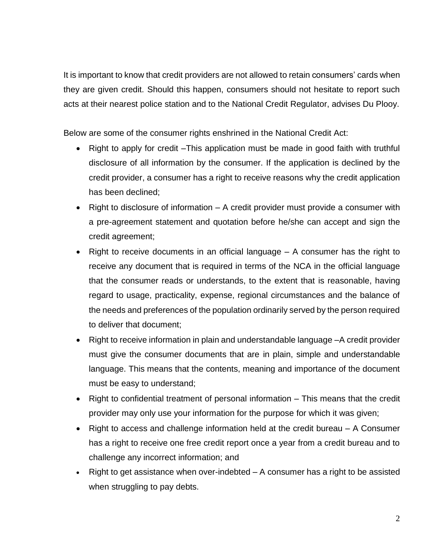It is important to know that credit providers are not allowed to retain consumers' cards when they are given credit. Should this happen, consumers should not hesitate to report such acts at their nearest police station and to the National Credit Regulator, advises Du Plooy.

Below are some of the consumer rights enshrined in the National Credit Act:

- Right to apply for credit –This application must be made in good faith with truthful disclosure of all information by the consumer. If the application is declined by the credit provider, a consumer has a right to receive reasons why the credit application has been declined;
- Right to disclosure of information A credit provider must provide a consumer with a pre-agreement statement and quotation before he/she can accept and sign the credit agreement;
- Right to receive documents in an official language A consumer has the right to receive any document that is required in terms of the NCA in the official language that the consumer reads or understands, to the extent that is reasonable, having regard to usage, practicality, expense, regional circumstances and the balance of the needs and preferences of the population ordinarily served by the person required to deliver that document;
- Right to receive information in plain and understandable language –A credit provider must give the consumer documents that are in plain, simple and understandable language. This means that the contents, meaning and importance of the document must be easy to understand;
- Right to confidential treatment of personal information This means that the credit provider may only use your information for the purpose for which it was given;
- Right to access and challenge information held at the credit bureau A Consumer has a right to receive one free credit report once a year from a credit bureau and to challenge any incorrect information; and
- Right to get assistance when over-indebted A consumer has a right to be assisted when struggling to pay debts.